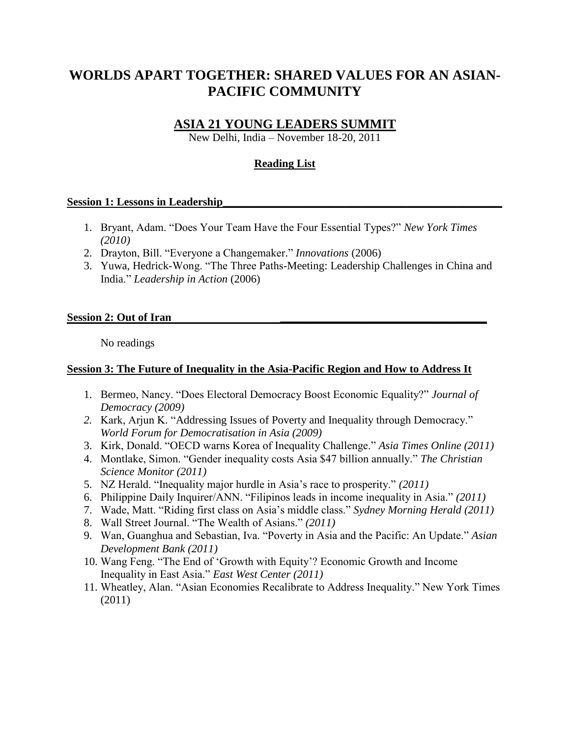# **WORLDS APART TOGETHER: SHARED VALUES FOR AN ASIAN-PACIFIC COMMUNITY**

# **ASIA 21 YOUNG LEADERS SUMMIT**

New Delhi, India – November 18-20, 2011

## **Reading List**

#### **Session 1: Lessons in Leadership\_\_\_\_\_\_\_\_\_\_\_\_\_\_\_\_\_\_\_\_\_\_\_\_\_\_\_\_\_\_\_\_\_\_\_\_\_\_\_\_\_\_\_\_\_\_\_\_\_\_**

- 1. Bryant, Adam. "Does Your Team Have the Four Essential Types?" *New York Times (2010)*
- 2. Drayton, Bill. "Everyone a Changemaker." *Innovations* (2006)
- 3. Yuwa, Hedrick-Wong. "The Three Paths-Meeting: Leadership Challenges in China and India." *Leadership in Action* (2006)

#### Session 2: Out of Iran

No readings

## **Session 3: The Future of Inequality in the Asia-Pacific Region and How to Address It**

- 1. Bermeo, Nancy. "Does Electoral Democracy Boost Economic Equality?" *Journal of Democracy (2009)*
- *2.* Kark, Arjun K. "Addressing Issues of Poverty and Inequality through Democracy." *World Forum for Democratisation in Asia (2009)*
- 3. Kirk, Donald. "OECD warns Korea of Inequality Challenge." *Asia Times Online (2011)*
- 4. Montlake, Simon. "Gender inequality costs Asia \$47 billion annually." *The Christian Science Monitor (2011)*
- 5. NZ Herald. "Inequality major hurdle in Asia"s race to prosperity." *(2011)*
- 6. Philippine Daily Inquirer/ANN. "Filipinos leads in income inequality in Asia." *(2011)*
- 7. Wade, Matt. "Riding first class on Asia"s middle class." *Sydney Morning Herald (2011)*
- 8. Wall Street Journal. "The Wealth of Asians." *(2011)*
- 9. Wan, Guanghua and Sebastian, Iva. "Poverty in Asia and the Pacific: An Update." *Asian Development Bank (2011)*
- 10. Wang Feng. "The End of "Growth with Equity"? Economic Growth and Income Inequality in East Asia." *East West Center (2011)*
- 11. Wheatley, Alan. "Asian Economies Recalibrate to Address Inequality." New York Times (2011)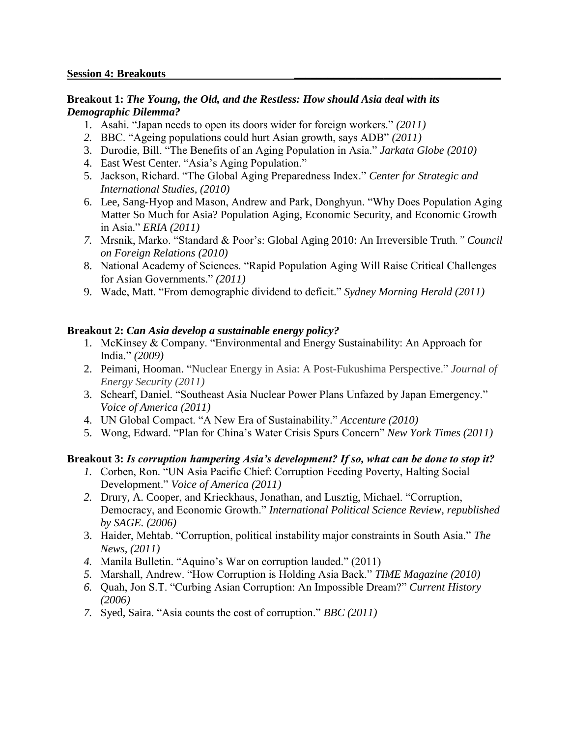#### **Breakout 1:** *The Young, the Old, and the Restless: How should Asia deal with its Demographic Dilemma?*

- 1. Asahi. "Japan needs to open its doors wider for foreign workers." *(2011)*
- *2.* BBC. "Ageing populations could hurt Asian growth, says ADB" *(2011)*
- 3. Durodie, Bill. "The Benefits of an Aging Population in Asia." *Jarkata Globe (2010)*
- 4. East West Center. "Asia"s Aging Population."
- 5. Jackson, Richard. "The Global Aging Preparedness Index." *Center for Strategic and International Studies, (2010)*
- 6. Lee, Sang-Hyop and Mason, Andrew and Park, Donghyun. "Why Does Population Aging Matter So Much for Asia? Population Aging, Economic Security, and Economic Growth in Asia." *ERIA (2011)*
- *7.* Mrsnik, Marko. "Standard & Poor"s: Global Aging 2010: An Irreversible Truth*." Council on Foreign Relations (2010)*
- 8. National Academy of Sciences. "Rapid Population Aging Will Raise Critical Challenges for Asian Governments." *(2011)*
- 9. Wade, Matt. "From demographic dividend to deficit." *Sydney Morning Herald (2011)*

## **Breakout 2:** *Can Asia develop a sustainable energy policy?*

- 1. McKinsey & Company. "Environmental and Energy Sustainability: An Approach for India." *(2009)*
- 2. Peimani, Hooman. "Nuclear Energy in Asia: A Post-Fukushima Perspective." *Journal of Energy Security (2011)*
- 3. Schearf, Daniel. "Southeast Asia Nuclear Power Plans Unfazed by Japan Emergency." *Voice of America (2011)*
- 4. UN Global Compact. "A New Era of Sustainability." *Accenture (2010)*
- 5. Wong, Edward. "Plan for China"s Water Crisis Spurs Concern" *New York Times (2011)*

# **Breakout 3:** *Is corruption hampering Asia's development? If so, what can be done to stop it?*

- *1.* Corben, Ron. "UN Asia Pacific Chief: Corruption Feeding Poverty, Halting Social Development." *Voice of America (2011)*
- *2.* Drury, A. Cooper, and Krieckhaus, Jonathan, and Lusztig, Michael. "Corruption, Democracy, and Economic Growth." *International Political Science Review, republished by SAGE. (2006)*
- 3. Haider, Mehtab. "Corruption, political instability major constraints in South Asia." *The News, (2011)*
- *4.* Manila Bulletin. "Aquino"s War on corruption lauded." (2011)
- *5.* Marshall, Andrew. "How Corruption is Holding Asia Back." *TIME Magazine (2010)*
- *6.* Quah, Jon S.T. "Curbing Asian Corruption: An Impossible Dream?" *Current History (2006)*
- *7.* Syed, Saira. "Asia counts the cost of corruption." *BBC (2011)*